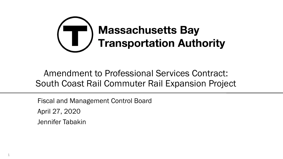

### Amendment to Professional Services Contract: South Coast Rail Commuter Rail Expansion Project

Fiscal and Management Control Board April 27, 2020 Jennifer Tabakin

1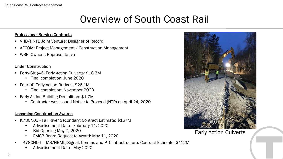# Overview of South Coast Rail

#### Professional Service Contracts

- VHB/HNTB Joint Venture: Designer of Record
- AECOM: Project Management / Construction Management
- WSP: Owner's Representative

#### Under Construction

- Forty-Six (46) Early Action Culverts: \$18.3M
	- Final completion: June 2020
- Four (4) Early Action Bridges: \$26.1M
	- Final completion: November 2020
- Early Action Building Demolition: \$1.7M
	- Contractor was issued Notice to Proceed (NTP) on April 24, 2020

#### Upcoming Construction Awards

- K78CN03 Fall River Secondary: Contract Estimate: \$167M
	- Advertisement Date February 14, 2020
	- Bid Opening May 7, 2020
	- FMCB Board Request to Award: May 11, 2020
- K78CN04 MS/NBML/Signal, Comms and PTC Infrastructure: Contract Estimate: \$412M
	- Advertisement Date May 2020



Early Action Culverts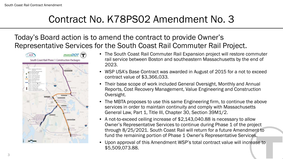# Contract No. K78PS02 Amendment No. 3

### Today's Board action is to amend the contract to provide Owner's Representative Services for the South Coast Rail Commuter Rail Project.



- The South Coast Rail Commuter Rail Expansion project will restore commuter rail service between Boston and southeastern Massachusetts by the end of 2023.
- WSP USA's Base Contract was awarded in August of 2015 for a not to exceed contract value of \$3,366,033.
- Their base scope of work included General Oversight, Monthly and Annual Reports, Cost Recovery Management, Value Engineering and Construction Oversight.
- The MBTA proposes to use this same Engineering firm, to continue the above services in order to maintain continuity and comply with Massachusetts General Law, Part 1, Title III, Chapter 30, Section 39M1/2.
- A not-to-exceed ceiling increase of \$2,143,040.88 is necessary to allow Owner's Representative Services to continue during Phase 1 of the project through 8/25/2021. South Coast Rail will return for a future Amendment to fund the remaining portion of Phase 1 Owner's Representative Services.
- Upon approval of this Amendment WSP's total contract value will increase to \$5,509,073.88.